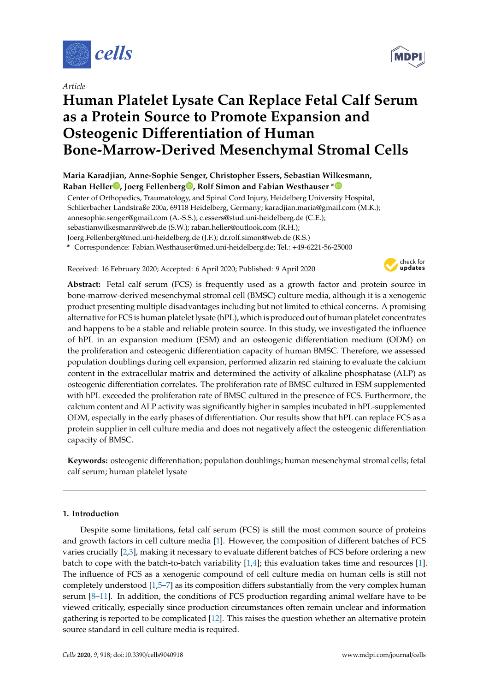

*Article*

# **Human Platelet Lysate Can Replace Fetal Calf Serum as a Protein Source to Promote Expansion and Osteogenic Di**ff**erentiation of Human Bone-Marrow-Derived Mesenchymal Stromal Cells**

**Maria Karadjian, Anne-Sophie Senger, Christopher Essers, Sebastian Wilkesmann, Raban Helle[r](https://orcid.org/0000-0001-8006-9742) , Joerg Fellenber[g](https://orcid.org/0000-0002-6187-6474) , Rolf Simon and Fabian Westhauser [\\*](https://orcid.org/0000-0001-9948-4209)**

Center of Orthopedics, Traumatology, and Spinal Cord Injury, Heidelberg University Hospital, Schlierbacher Landstraße 200a, 69118 Heidelberg, Germany; karadjian.maria@gmail.com (M.K.); annesophie.senger@gmail.com (A.-S.S.); c.essers@stud.uni-heidelberg.de (C.E.); sebastianwilkesmann@web.de (S.W.); raban.heller@outlook.com (R.H.); Joerg.Fellenberg@med.uni-heidelberg.de (J.F.); dr.rolf.simon@web.de (R.S.) **\*** Correspondence: Fabian.Westhauser@med.uni-heidelberg.de; Tel.: +49-6221-56-25000

Received: 16 February 2020; Accepted: 6 April 2020; Published: 9 April 2020



**Abstract:** Fetal calf serum (FCS) is frequently used as a growth factor and protein source in bone-marrow-derived mesenchymal stromal cell (BMSC) culture media, although it is a xenogenic product presenting multiple disadvantages including but not limited to ethical concerns. A promising alternative for FCS is human platelet lysate (hPL), which is produced out of human platelet concentrates and happens to be a stable and reliable protein source. In this study, we investigated the influence of hPL in an expansion medium (ESM) and an osteogenic differentiation medium (ODM) on the proliferation and osteogenic differentiation capacity of human BMSC. Therefore, we assessed population doublings during cell expansion, performed alizarin red staining to evaluate the calcium content in the extracellular matrix and determined the activity of alkaline phosphatase (ALP) as osteogenic differentiation correlates. The proliferation rate of BMSC cultured in ESM supplemented with hPL exceeded the proliferation rate of BMSC cultured in the presence of FCS. Furthermore, the calcium content and ALP activity was significantly higher in samples incubated in hPL-supplemented ODM, especially in the early phases of differentiation. Our results show that hPL can replace FCS as a protein supplier in cell culture media and does not negatively affect the osteogenic differentiation capacity of BMSC.

**Keywords:** osteogenic differentiation; population doublings; human mesenchymal stromal cells; fetal calf serum; human platelet lysate

## **1. Introduction**

Despite some limitations, fetal calf serum (FCS) is still the most common source of proteins and growth factors in cell culture media [\[1\]](#page-8-0). However, the composition of different batches of FCS varies crucially [\[2,](#page-8-1)[3\]](#page-8-2), making it necessary to evaluate different batches of FCS before ordering a new batch to cope with the batch-to-batch variability  $[1,4]$  $[1,4]$ ; this evaluation takes time and resources [\[1\]](#page-8-0). The influence of FCS as a xenogenic compound of cell culture media on human cells is still not completely understood [\[1](#page-8-0)[,5](#page-9-0)[–7\]](#page-9-1) as its composition differs substantially from the very complex human serum [\[8](#page-9-2)[–11\]](#page-9-3). In addition, the conditions of FCS production regarding animal welfare have to be viewed critically, especially since production circumstances often remain unclear and information gathering is reported to be complicated [\[12\]](#page-9-4). This raises the question whether an alternative protein source standard in cell culture media is required.

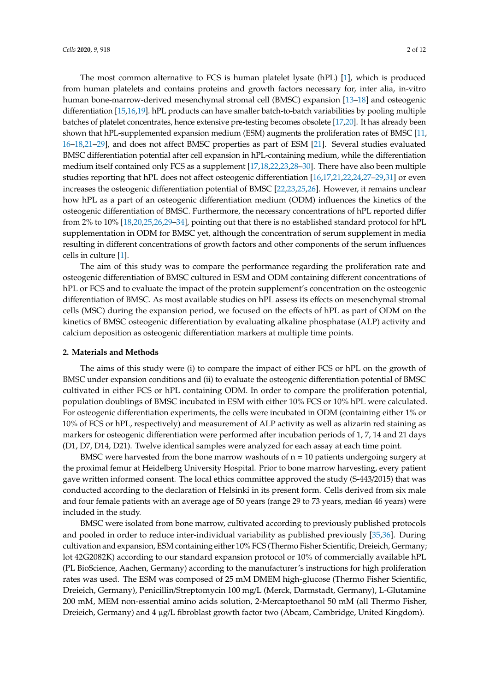The most common alternative to FCS is human platelet lysate (hPL) [\[1\]](#page-8-0), which is produced from human platelets and contains proteins and growth factors necessary for, inter alia, in-vitro human bone-marrow-derived mesenchymal stromal cell (BMSC) expansion [\[13–](#page-9-5)[18\]](#page-9-6) and osteogenic differentiation [\[15,](#page-9-7)[16](#page-9-8)[,19\]](#page-9-9). hPL products can have smaller batch-to-batch variabilities by pooling multiple batches of platelet concentrates, hence extensive pre-testing becomes obsolete [\[17,](#page-9-10)[20\]](#page-9-11). It has already been shown that hPL-supplemented expansion medium (ESM) augments the proliferation rates of BMSC [\[11,](#page-9-3) [16–](#page-9-8)[18,](#page-9-6)[21–](#page-9-12)[29\]](#page-10-0), and does not affect BMSC properties as part of ESM [\[21\]](#page-9-12). Several studies evaluated BMSC differentiation potential after cell expansion in hPL-containing medium, while the differentiation medium itself contained only FCS as a supplement [\[17](#page-9-10)[,18,](#page-9-6)[22](#page-9-13)[,23,](#page-9-14)[28](#page-10-1)[–30\]](#page-10-2). There have also been multiple studies reporting that hPL does not affect osteogenic differentiation [\[16](#page-9-8)[,17,](#page-9-10)[21](#page-9-12)[,22,](#page-9-13)[24](#page-9-15)[,27](#page-10-3)[–29](#page-10-0)[,31\]](#page-10-4) or even increases the osteogenic differentiation potential of BMSC [\[22,](#page-9-13)[23,](#page-9-14)[25,](#page-10-5)[26\]](#page-10-6). However, it remains unclear how hPL as a part of an osteogenic differentiation medium (ODM) influences the kinetics of the osteogenic differentiation of BMSC. Furthermore, the necessary concentrations of hPL reported differ from 2% to 10% [\[18,](#page-9-6)[20,](#page-9-11)[25,](#page-10-5)[26](#page-10-6)[,29–](#page-10-0)[34\]](#page-10-7), pointing out that there is no established standard protocol for hPL supplementation in ODM for BMSC yet, although the concentration of serum supplement in media resulting in different concentrations of growth factors and other components of the serum influences cells in culture [\[1\]](#page-8-0).

The aim of this study was to compare the performance regarding the proliferation rate and osteogenic differentiation of BMSC cultured in ESM and ODM containing different concentrations of hPL or FCS and to evaluate the impact of the protein supplement's concentration on the osteogenic differentiation of BMSC. As most available studies on hPL assess its effects on mesenchymal stromal cells (MSC) during the expansion period, we focused on the effects of hPL as part of ODM on the kinetics of BMSC osteogenic differentiation by evaluating alkaline phosphatase (ALP) activity and calcium deposition as osteogenic differentiation markers at multiple time points.

#### **2. Materials and Methods**

The aims of this study were (i) to compare the impact of either FCS or hPL on the growth of BMSC under expansion conditions and (ii) to evaluate the osteogenic differentiation potential of BMSC cultivated in either FCS or hPL containing ODM. In order to compare the proliferation potential, population doublings of BMSC incubated in ESM with either 10% FCS or 10% hPL were calculated. For osteogenic differentiation experiments, the cells were incubated in ODM (containing either 1% or 10% of FCS or hPL, respectively) and measurement of ALP activity as well as alizarin red staining as markers for osteogenic differentiation were performed after incubation periods of 1, 7, 14 and 21 days (D1, D7, D14, D21). Twelve identical samples were analyzed for each assay at each time point.

BMSC were harvested from the bone marrow washouts of  $n = 10$  patients undergoing surgery at the proximal femur at Heidelberg University Hospital. Prior to bone marrow harvesting, every patient gave written informed consent. The local ethics committee approved the study (S-443/2015) that was conducted according to the declaration of Helsinki in its present form. Cells derived from six male and four female patients with an average age of 50 years (range 29 to 73 years, median 46 years) were included in the study.

BMSC were isolated from bone marrow, cultivated according to previously published protocols and pooled in order to reduce inter-individual variability as published previously [\[35,](#page-10-8)[36\]](#page-10-9). During cultivation and expansion, ESM containing either 10% FCS (Thermo Fisher Scientific, Dreieich, Germany; lot 42G2082K) according to our standard expansion protocol or 10% of commercially available hPL (PL BioScience, Aachen, Germany) according to the manufacturer's instructions for high proliferation rates was used. The ESM was composed of 25 mM DMEM high-glucose (Thermo Fisher Scientific, Dreieich, Germany), Penicillin/Streptomycin 100 mg/L (Merck, Darmstadt, Germany), L-Glutamine 200 mM, MEM non-essential amino acids solution, 2-Mercaptoethanol 50 mM (all Thermo Fisher, Dreieich, Germany) and 4 µg/L fibroblast growth factor two (Abcam, Cambridge, United Kingdom).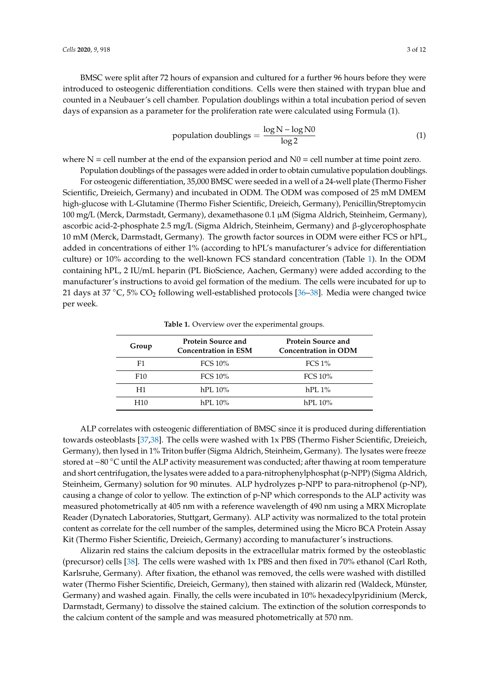BMSC were split after 72 hours of expansion and cultured for a further 96 hours before they were introduced to osteogenic differentiation conditions. Cells were then stained with trypan blue and counted in a Neubauer's cell chamber. Population doublings within a total incubation period of seven days of expansion as a parameter for the proliferation rate were calculated using Formula (1).

population doublings = 
$$
\frac{\log N - \log N0}{\log 2}
$$
 (1)

where  $N =$  cell number at the end of the expansion period and  $N0 =$  cell number at time point zero.

Population doublings of the passages were added in order to obtain cumulative population doublings. For osteogenic differentiation, 35,000 BMSC were seeded in a well of a 24-well plate (Thermo Fisher Scientific, Dreieich, Germany) and incubated in ODM. The ODM was composed of 25 mM DMEM high-glucose with L-Glutamine (Thermo Fisher Scientific, Dreieich, Germany), Penicillin/Streptomycin 100 mg/L (Merck, Darmstadt, Germany), dexamethasone 0.1 µM (Sigma Aldrich, Steinheim, Germany), ascorbic acid-2-phosphate 2.5 mg/L (Sigma Aldrich, Steinheim, Germany) and β-glycerophosphate 10 mM (Merck, Darmstadt, Germany). The growth factor sources in ODM were either FCS or hPL, added in concentrations of either 1% (according to hPL's manufacturer's advice for differentiation culture) or 10% according to the well-known FCS standard concentration (Table [1\)](#page-2-0). In the ODM containing hPL, 2 IU/mL heparin (PL BioScience, Aachen, Germany) were added according to the manufacturer's instructions to avoid gel formation of the medium. The cells were incubated for up to 21 days at 37 °C, 5% CO<sub>2</sub> following well-established protocols [\[36–](#page-10-9)[38\]](#page-10-10). Media were changed twice per week.

<span id="page-2-0"></span>

| Group           | <b>Protein Source and</b><br><b>Concentration in ESM</b> | <b>Protein Source and</b><br><b>Concentration in ODM</b> |
|-----------------|----------------------------------------------------------|----------------------------------------------------------|
| F1              | FCS $10\%$                                               | FCS 1%                                                   |
| F <sub>10</sub> | FCS $10\%$                                               | FCS 10%                                                  |
| H1              | $hPL 10\%$                                               | $hPI.1\%$                                                |
| H10             | hPI.10%                                                  | hPI. 10%                                                 |

**Table 1.** Overview over the experimental groups.

ALP correlates with osteogenic differentiation of BMSC since it is produced during differentiation towards osteoblasts [\[37](#page-10-11)[,38\]](#page-10-10). The cells were washed with 1x PBS (Thermo Fisher Scientific, Dreieich, Germany), then lysed in 1% Triton buffer (Sigma Aldrich, Steinheim, Germany). The lysates were freeze stored at −80 °C until the ALP activity measurement was conducted; after thawing at room temperature and short centrifugation, the lysates were added to a para-nitrophenylphosphat (p-NPP) (Sigma Aldrich, Steinheim, Germany) solution for 90 minutes. ALP hydrolyzes p-NPP to para-nitrophenol (p-NP), causing a change of color to yellow. The extinction of p-NP which corresponds to the ALP activity was measured photometrically at 405 nm with a reference wavelength of 490 nm using a MRX Microplate Reader (Dynatech Laboratories, Stuttgart, Germany). ALP activity was normalized to the total protein content as correlate for the cell number of the samples, determined using the Micro BCA Protein Assay Kit (Thermo Fisher Scientific, Dreieich, Germany) according to manufacturer's instructions.

Alizarin red stains the calcium deposits in the extracellular matrix formed by the osteoblastic (precursor) cells [\[38\]](#page-10-10). The cells were washed with 1x PBS and then fixed in 70% ethanol (Carl Roth, Karlsruhe, Germany). After fixation, the ethanol was removed, the cells were washed with distilled water (Thermo Fisher Scientific, Dreieich, Germany), then stained with alizarin red (Waldeck, Münster, Germany) and washed again. Finally, the cells were incubated in 10% hexadecylpyridinium (Merck, Darmstadt, Germany) to dissolve the stained calcium. The extinction of the solution corresponds to the calcium content of the sample and was measured photometrically at 570 nm.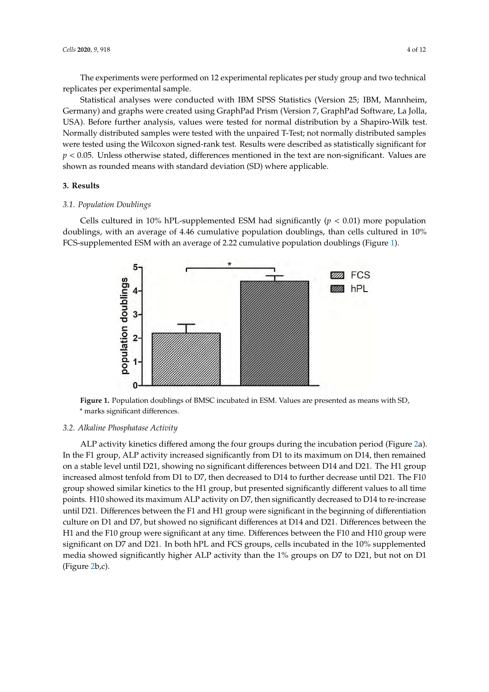The experiments were performed on 12 experimental replicates per study group and two technical replicates per experimental sample.

Statistical analyses were conducted with IBM SPSS Statistics (Version 25; IBM, Mannheim, Statistical analyses were conducted with IBM SPSS Statistics (Version 25; IBM, Mannheim, Germany) and graphs were created using GraphPad Prism (Version 7, GraphPad Software, La Jolla, Germany) and graphs were created using GraphPad Prism (Version 7, GraphPad Software, La Jolla, USA). Before further analysis, values were tested for normal distribution by a Shapiro-Wilk test. USA). Before further analysis, values were tested for normal distribution by a Shapiro-Wilk test. Normally distributed samples were tested with the unpaired T-Test; not normally distributed samples Normally distributed samples were tested with the unpaired T-Test; not normally distributed were tested using the Wilcoxon signed-rank test. Results were described as statistically significant for  $p < 0.05$ . Unless otherwise stated, differences mentioned in the text are non-significant. Values are ,<br>shown as rounded means with standard deviation (SD) where applicable.  $\overline{\phantom{a}}$ 

# **3. Results 3. Results**

#### *3.1. Population Doublings 3.1. Population Doublings*

<span id="page-3-0"></span>Cells cultured in 10% hPL-supplemented ESM had significantly (*p* < 0.01) more population Cells cultured in 10% hPL-supplemented ESM had significantly (*p* < 0.01) more population doublings, with an average of 4.46 cumulative population doublings, than cells cultured in 10% doublings, with an average of 4.46 cumulative population doublings, than cells cultured in 10% FCS-supplemented ESM with an average of 2.22 cumulative population doublings (Figure 1). FCS-supplemented ESM with an average of 2.22 cumulative population doublings (Figure [1](#page-3-0)).



\* marks significant differences.  $\sigma$ **Figure 1.** Population doublings of BMSC incubated in ESM. Values are presented as means with SD,

#### *3.2. Alkaline Phosphatase Activity*

*3.2. Alkaline Phosphatase Activity*  In the F1 group, ALP activity increased significantly from D1 to its maximum on D14, then remained on a stable level until D21, showing no significant differences between D14 and D21. The H1 group increased almost tenfold from D1 to D7, then decreased to D14 to further decrease until D21. The F10 group showed similar kinetics to the H1 group, but presented significantly different values to all time points. H10 showed its maximum ALP activity on D7, then significantly decreased to D14 to re-increase until D21. Differences between the F1 and H1 group were significant in the beginning of differentiation culture on D1 and D7, but showed no significant differences at D14 and D21. Differences between the H1 and the F10 group were significant at any time. Differences between the F10 and H10 group were significant on D7 and D21. In both hPL and FCS groups, cells incubated in the 10% supplemented media showed significantly higher ALP activity than the 1% groups on D7 to D21, but not on D1  $(figure 2b,c)$  $(figure 2b,c)$  $(figure 2b,c)$ . ALP activity kinetics differed among the four groups during the incubation period (Figure [2a](#page-4-0)).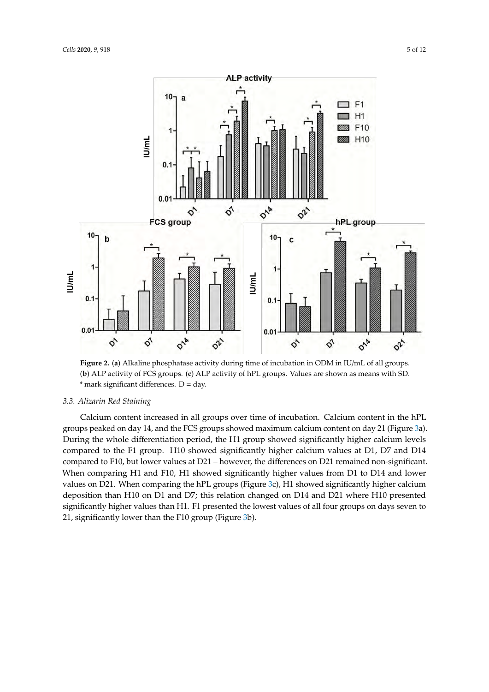<span id="page-4-0"></span>

\* mark significant differences. D = day. **Figure 2.** (**a**) Alkaline phosphatase activity during time of incubation in ODM in IU/mL of all groups. (**b**) ALP activity of FCS groups. (**c**) ALP activity of hPL groups. Values are shown as means with SD.

### (**b**) ALP activity of FCS groups. (**c**) ALP activity of hPL groups. Values are shown as means with SD. 3.3. Alizarin Red Staining

*3.3. Alizarin Red Staining*  groups peaked on day 14, and the FCS groups showed maximum calcium content on day 21 (Figure [3a](#page-5-0)). During the whole differentiation period, the H1 group showed significantly higher calcium levels compared to the F1 group. H10 showed significantly higher calcium values at D1, D7 and D14 compared to F10, but lower values at D21 – however, the differences on D21 remained non-significant. When comparing H1 and F10, H1 showed significantly higher values from D1 to D14 and lower values on D21. When comparing the hPL groups (Figure [3c](#page-5-0)), H1 showed significantly higher calcium deposition than H10 on D1 and D7; this relation changed on D14 and D21 where H10 presented significantly higher values than H1. F1 presented the lowest values of all four groups on days seven to 21, significantly lower than the F10 group (Figure 3b). Calcium content increased in all groups over time of incubation. Calcium content in the hPL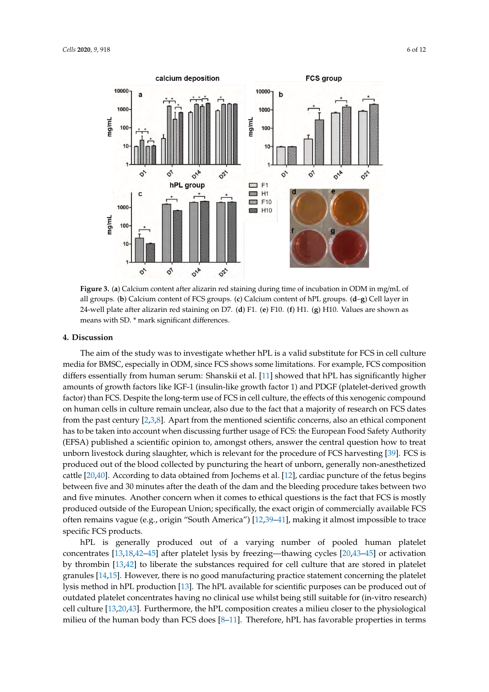<span id="page-5-0"></span>

24-well plate after alizarin red staining on D7. (d) F1. (e) F10. (f) H1. (g) H10. Values are shown as means with SD. \* mark significant differences. in 24-well plate after alizarin red staining on D7. (**d**) F1. (**e**) F10. (**f**) H1. (**g**) H10. Values are shown as **Figure 3.** (**a**) Calcium content after alizarin red staining during time of incubation in ODM in mg/mL of all groups. (**b**) Calcium content of FCS groups. (**c**) Calcium content of hPL groups. (**d**–**g**) Cell layer in

#### means with SD. \* mark significant differences. **4. Discussion**

**4. Discussion 1.** C **p** *tc* differs essentially from human serum: Shanskii et al. [11] showed that [hPL](#page-9-3) has significantly higher amounts of growth factors like IGF-1 (insulin-like growth factor 1) and PDGF (platelet-derived growth factor) than FCS. Despite the long-term use of FCS in cell culture, the effects of this xenogenic compound on human cells in culture remain unclear, also due to the fact that a majority of research on FCS dates from the past century [2,3,8]. Apart from the mentioned scientific concerns, also an ethical component has to be taken into account when discussing further usage of FCS: the European Food Safety Authority (EFSA) published a scientific opinion to, amongst others, answer the central question how to treat unborn livestock during slaughter, which is relevant for the procedure of FCS harvesting [39]. FCS is produced out of the blood collected by puncturing the heart of unborn, generally non-anesthetized cattle [20,40]. According to data obtained from Jochems et al. [12], cardiac puncture of the fetus begins between five and 30 minutes after the death of the dam and the bleeding procedure takes between two and five minutes. Another concern when it comes to ethical questions is the fact that FCS is mostly produced outside of the European Union; specifically, the exact origin of commercially available FCS often remains vagu[e](#page-9-4) (e.g., origin "South America") [12,39-41], making it almost impossible to trace specific FCS products. The aim of the study was to investigate whether hPL is a valid substitute for FCS in cell culture media for BMSC, especially in ODM, since FCS shows some limitations. For example, FCS composition

hPL is generally produced out of a varying number of pooled human platelet concentrates [13,18,42-45] after platelet lysis by freezing—thawi[ng](#page-9-6) cycles [\[20](#page-9-11)[,43](#page-11-2)-45] or activation by thrombin [13,42] to liberate the substances required for cell culture that are stored in platelet granules [\[14,](#page-9-16)15]. However, there is no good manufacturing practice statement concerning the platelet lysis method in hPL production [13]. The hPL available for scientific purposes can be produced out of outdated platelet concentrates having no clinical use whilst being still suitable for (in-vitro research) cell culture [13,20,43]. Furthermore, the hPL composition creates a milieu closer to the physiological milieu of the human body than FCS does [\[8](#page-9-2)-11]. Therefore, hPL has favorable properties in terms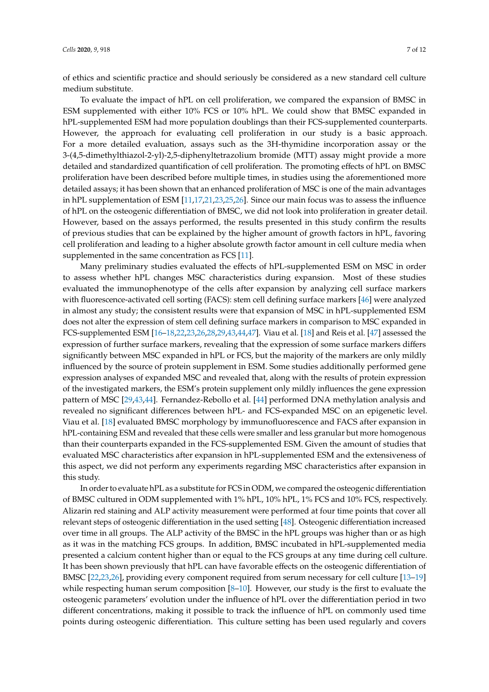of ethics and scientific practice and should seriously be considered as a new standard cell culture medium substitute.

To evaluate the impact of hPL on cell proliferation, we compared the expansion of BMSC in ESM supplemented with either 10% FCS or 10% hPL. We could show that BMSC expanded in hPL-supplemented ESM had more population doublings than their FCS-supplemented counterparts. However, the approach for evaluating cell proliferation in our study is a basic approach. For a more detailed evaluation, assays such as the 3H-thymidine incorporation assay or the 3-(4,5-dimethylthiazol-2-yl)-2,5-diphenyltetrazolium bromide (MTT) assay might provide a more detailed and standardized quantification of cell proliferation. The promoting effects of hPL on BMSC proliferation have been described before multiple times, in studies using the aforementioned more detailed assays; it has been shown that an enhanced proliferation of MSC is one of the main advantages in hPL supplementation of ESM [\[11,](#page-9-3)[17,](#page-9-10)[21,](#page-9-12)[23,](#page-9-14)[25,](#page-10-5)[26\]](#page-10-6). Since our main focus was to assess the influence of hPL on the osteogenic differentiation of BMSC, we did not look into proliferation in greater detail. However, based on the assays performed, the results presented in this study confirm the results of previous studies that can be explained by the higher amount of growth factors in hPL, favoring cell proliferation and leading to a higher absolute growth factor amount in cell culture media when supplemented in the same concentration as FCS [\[11\]](#page-9-3).

Many preliminary studies evaluated the effects of hPL-supplemented ESM on MSC in order to assess whether hPL changes MSC characteristics during expansion. Most of these studies evaluated the immunophenotype of the cells after expansion by analyzing cell surface markers with fluorescence-activated cell sorting (FACS): stem cell defining surface markers [\[46\]](#page-11-3) were analyzed in almost any study; the consistent results were that expansion of MSC in hPL-supplemented ESM does not alter the expression of stem cell defining surface markers in comparison to MSC expanded in FCS-supplemented ESM [\[16–](#page-9-8)[18](#page-9-6)[,22](#page-9-13)[,23](#page-9-14)[,26,](#page-10-6)[28,](#page-10-1)[29,](#page-10-0)[43](#page-11-2)[,44](#page-11-4)[,47\]](#page-11-5). Viau et al. [\[18\]](#page-9-6) and Reis et al. [\[47\]](#page-11-5) assessed the expression of further surface markers, revealing that the expression of some surface markers differs significantly between MSC expanded in hPL or FCS, but the majority of the markers are only mildly influenced by the source of protein supplement in ESM. Some studies additionally performed gene expression analyses of expanded MSC and revealed that, along with the results of protein expression of the investigated markers, the ESM's protein supplement only mildly influences the gene expression pattern of MSC [\[29](#page-10-0)[,43](#page-11-2)[,44\]](#page-11-4). Fernandez-Rebollo et al. [\[44\]](#page-11-4) performed DNA methylation analysis and revealed no significant differences between hPL- and FCS-expanded MSC on an epigenetic level. Viau et al. [\[18\]](#page-9-6) evaluated BMSC morphology by immunofluorescence and FACS after expansion in hPL-containing ESM and revealed that these cells were smaller and less granular but more homogenous than their counterparts expanded in the FCS-supplemented ESM. Given the amount of studies that evaluated MSC characteristics after expansion in hPL-supplemented ESM and the extensiveness of this aspect, we did not perform any experiments regarding MSC characteristics after expansion in this study.

In order to evaluate hPL as a substitute for FCS in ODM, we compared the osteogenic differentiation of BMSC cultured in ODM supplemented with 1% hPL, 10% hPL, 1% FCS and 10% FCS, respectively. Alizarin red staining and ALP activity measurement were performed at four time points that cover all relevant steps of osteogenic differentiation in the used setting [\[48\]](#page-11-6). Osteogenic differentiation increased over time in all groups. The ALP activity of the BMSC in the hPL groups was higher than or as high as it was in the matching FCS groups. In addition, BMSC incubated in hPL-supplemented media presented a calcium content higher than or equal to the FCS groups at any time during cell culture. It has been shown previously that hPL can have favorable effects on the osteogenic differentiation of BMSC [\[22](#page-9-13)[,23](#page-9-14)[,26\]](#page-10-6), providing every component required from serum necessary for cell culture [\[13](#page-9-5)[–19\]](#page-9-9) while respecting human serum composition [\[8–](#page-9-2)[10\]](#page-9-17). However, our study is the first to evaluate the osteogenic parameters' evolution under the influence of hPL over the differentiation period in two different concentrations, making it possible to track the influence of hPL on commonly used time points during osteogenic differentiation. This culture setting has been used regularly and covers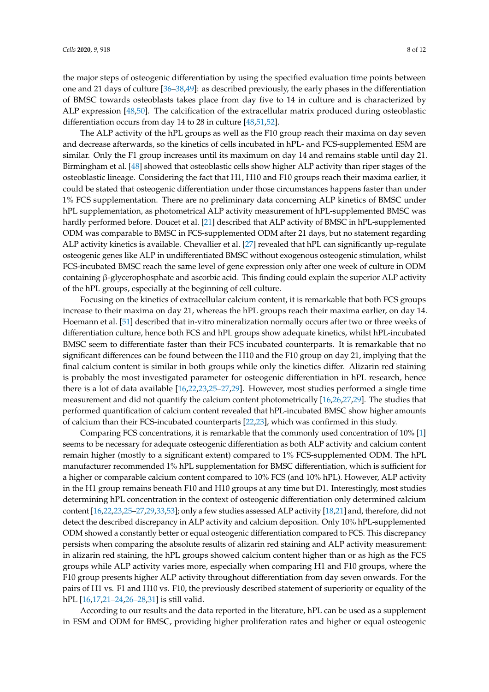the major steps of osteogenic differentiation by using the specified evaluation time points between one and 21 days of culture [\[36–](#page-10-9)[38](#page-10-10)[,49\]](#page-11-7): as described previously, the early phases in the differentiation of BMSC towards osteoblasts takes place from day five to 14 in culture and is characterized by ALP expression [\[48,](#page-11-6)[50\]](#page-11-8). The calcification of the extracellular matrix produced during osteoblastic differentiation occurs from day 14 to 28 in culture [\[48,](#page-11-6)[51,](#page-11-9)[52\]](#page-11-10).

The ALP activity of the hPL groups as well as the F10 group reach their maxima on day seven and decrease afterwards, so the kinetics of cells incubated in hPL- and FCS-supplemented ESM are similar. Only the F1 group increases until its maximum on day 14 and remains stable until day 21. Birmingham et al. [\[48\]](#page-11-6) showed that osteoblastic cells show higher ALP activity than riper stages of the osteoblastic lineage. Considering the fact that H1, H10 and F10 groups reach their maxima earlier, it could be stated that osteogenic differentiation under those circumstances happens faster than under 1% FCS supplementation. There are no preliminary data concerning ALP kinetics of BMSC under hPL supplementation, as photometrical ALP activity measurement of hPL-supplemented BMSC was hardly performed before. Doucet et al. [\[21\]](#page-9-12) described that ALP activity of BMSC in hPL-supplemented ODM was comparable to BMSC in FCS-supplemented ODM after 21 days, but no statement regarding ALP activity kinetics is available. Chevallier et al. [\[27\]](#page-10-3) revealed that hPL can significantly up-regulate osteogenic genes like ALP in undifferentiated BMSC without exogenous osteogenic stimulation, whilst FCS-incubated BMSC reach the same level of gene expression only after one week of culture in ODM containing β-glycerophosphate and ascorbic acid. This finding could explain the superior ALP activity of the hPL groups, especially at the beginning of cell culture.

Focusing on the kinetics of extracellular calcium content, it is remarkable that both FCS groups increase to their maxima on day 21, whereas the hPL groups reach their maxima earlier, on day 14. Hoemann et al. [\[51\]](#page-11-9) described that in-vitro mineralization normally occurs after two or three weeks of differentiation culture, hence both FCS and hPL groups show adequate kinetics, whilst hPL-incubated BMSC seem to differentiate faster than their FCS incubated counterparts. It is remarkable that no significant differences can be found between the H10 and the F10 group on day 21, implying that the final calcium content is similar in both groups while only the kinetics differ. Alizarin red staining is probably the most investigated parameter for osteogenic differentiation in hPL research, hence there is a lot of data available [\[16](#page-9-8)[,22](#page-9-13)[,23](#page-9-14)[,25](#page-10-5)[–27](#page-10-3)[,29\]](#page-10-0). However, most studies performed a single time measurement and did not quantify the calcium content photometrically [\[16](#page-9-8)[,26,](#page-10-6)[27,](#page-10-3)[29\]](#page-10-0). The studies that performed quantification of calcium content revealed that hPL-incubated BMSC show higher amounts of calcium than their FCS-incubated counterparts [\[22](#page-9-13)[,23\]](#page-9-14), which was confirmed in this study.

Comparing FCS concentrations, it is remarkable that the commonly used concentration of 10% [\[1\]](#page-8-0) seems to be necessary for adequate osteogenic differentiation as both ALP activity and calcium content remain higher (mostly to a significant extent) compared to 1% FCS-supplemented ODM. The hPL manufacturer recommended 1% hPL supplementation for BMSC differentiation, which is sufficient for a higher or comparable calcium content compared to 10% FCS (and 10% hPL). However, ALP activity in the H1 group remains beneath F10 and H10 groups at any time but D1. Interestingly, most studies determining hPL concentration in the context of osteogenic differentiation only determined calcium content [\[16,](#page-9-8)[22,](#page-9-13)[23](#page-9-14)[,25–](#page-10-5)[27,](#page-10-3)[29,](#page-10-0)[33,](#page-10-15)[53\]](#page-11-11); only a few studies assessed ALP activity [\[18,](#page-9-6)[21\]](#page-9-12) and, therefore, did not detect the described discrepancy in ALP activity and calcium deposition. Only 10% hPL-supplemented ODM showed a constantly better or equal osteogenic differentiation compared to FCS. This discrepancy persists when comparing the absolute results of alizarin red staining and ALP activity measurement: in alizarin red staining, the hPL groups showed calcium content higher than or as high as the FCS groups while ALP activity varies more, especially when comparing H1 and F10 groups, where the F10 group presents higher ALP activity throughout differentiation from day seven onwards. For the pairs of H1 vs. F1 and H10 vs. F10, the previously described statement of superiority or equality of the hPL [\[16,](#page-9-8)[17,](#page-9-10)[21](#page-9-12)[–24,](#page-9-15)[26](#page-10-6)[–28](#page-10-1)[,31\]](#page-10-4) is still valid.

According to our results and the data reported in the literature, hPL can be used as a supplement in ESM and ODM for BMSC, providing higher proliferation rates and higher or equal osteogenic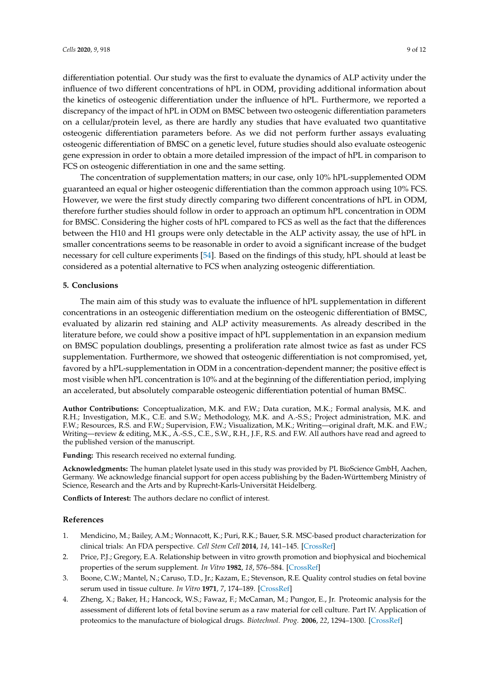differentiation potential. Our study was the first to evaluate the dynamics of ALP activity under the influence of two different concentrations of hPL in ODM, providing additional information about the kinetics of osteogenic differentiation under the influence of hPL. Furthermore, we reported a discrepancy of the impact of hPL in ODM on BMSC between two osteogenic differentiation parameters on a cellular/protein level, as there are hardly any studies that have evaluated two quantitative osteogenic differentiation parameters before. As we did not perform further assays evaluating osteogenic differentiation of BMSC on a genetic level, future studies should also evaluate osteogenic gene expression in order to obtain a more detailed impression of the impact of hPL in comparison to FCS on osteogenic differentiation in one and the same setting.

The concentration of supplementation matters; in our case, only 10% hPL-supplemented ODM guaranteed an equal or higher osteogenic differentiation than the common approach using 10% FCS. However, we were the first study directly comparing two different concentrations of hPL in ODM, therefore further studies should follow in order to approach an optimum hPL concentration in ODM for BMSC. Considering the higher costs of hPL compared to FCS as well as the fact that the differences between the H10 and H1 groups were only detectable in the ALP activity assay, the use of hPL in smaller concentrations seems to be reasonable in order to avoid a significant increase of the budget necessary for cell culture experiments [\[54\]](#page-11-12). Based on the findings of this study, hPL should at least be considered as a potential alternative to FCS when analyzing osteogenic differentiation.

#### **5. Conclusions**

The main aim of this study was to evaluate the influence of hPL supplementation in different concentrations in an osteogenic differentiation medium on the osteogenic differentiation of BMSC, evaluated by alizarin red staining and ALP activity measurements. As already described in the literature before, we could show a positive impact of hPL supplementation in an expansion medium on BMSC population doublings, presenting a proliferation rate almost twice as fast as under FCS supplementation. Furthermore, we showed that osteogenic differentiation is not compromised, yet, favored by a hPL-supplementation in ODM in a concentration-dependent manner; the positive effect is most visible when hPL concentration is 10% and at the beginning of the differentiation period, implying an accelerated, but absolutely comparable osteogenic differentiation potential of human BMSC.

**Author Contributions:** Conceptualization, M.K. and F.W.; Data curation, M.K.; Formal analysis, M.K. and R.H.; Investigation, M.K., C.E. and S.W.; Methodology, M.K. and A.-S.S.; Project administration, M.K. and F.W.; Resources, R.S. and F.W.; Supervision, F.W.; Visualization, M.K.; Writing—original draft, M.K. and F.W.; Writing—review & editing, M.K., A.-S.S., C.E., S.W., R.H., J.F., R.S. and F.W. All authors have read and agreed to the published version of the manuscript.

**Funding:** This research received no external funding.

**Acknowledgments:** The human platelet lysate used in this study was provided by PL BioScience GmbH, Aachen, Germany. We acknowledge financial support for open access publishing by the Baden-Württemberg Ministry of Science, Research and the Arts and by Ruprecht-Karls-Universität Heidelberg.

**Conflicts of Interest:** The authors declare no conflict of interest.

#### **References**

- <span id="page-8-0"></span>1. Mendicino, M.; Bailey, A.M.; Wonnacott, K.; Puri, R.K.; Bauer, S.R. MSC-based product characterization for clinical trials: An FDA perspective. *Cell Stem Cell* **2014**, *14*, 141–145. [\[CrossRef\]](http://dx.doi.org/10.1016/j.stem.2014.01.013)
- <span id="page-8-1"></span>2. Price, P.J.; Gregory, E.A. Relationship between in vitro growth promotion and biophysical and biochemical properties of the serum supplement. *In Vitro* **1982**, *18*, 576–584. [\[CrossRef\]](http://dx.doi.org/10.1007/BF02810081)
- <span id="page-8-2"></span>3. Boone, C.W.; Mantel, N.; Caruso, T.D., Jr.; Kazam, E.; Stevenson, R.E. Quality control studies on fetal bovine serum used in tissue culture. *In Vitro* **1971**, *7*, 174–189. [\[CrossRef\]](http://dx.doi.org/10.1007/BF02617963)
- <span id="page-8-3"></span>4. Zheng, X.; Baker, H.; Hancock, W.S.; Fawaz, F.; McCaman, M.; Pungor, E., Jr. Proteomic analysis for the assessment of different lots of fetal bovine serum as a raw material for cell culture. Part IV. Application of proteomics to the manufacture of biological drugs. *Biotechnol. Prog.* **2006**, *22*, 1294–1300. [\[CrossRef\]](http://dx.doi.org/10.1021/bp060121o)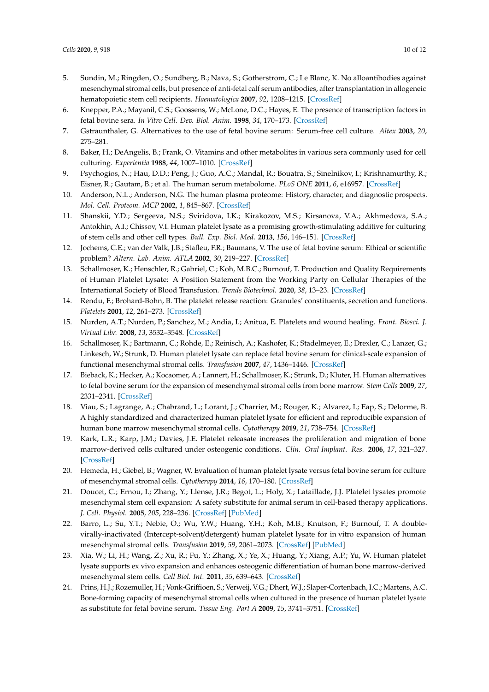- <span id="page-9-0"></span>5. Sundin, M.; Ringden, O.; Sundberg, B.; Nava, S.; Gotherstrom, C.; Le Blanc, K. No alloantibodies against mesenchymal stromal cells, but presence of anti-fetal calf serum antibodies, after transplantation in allogeneic hematopoietic stem cell recipients. *Haematologica* **2007**, *92*, 1208–1215. [\[CrossRef\]](http://dx.doi.org/10.3324/haematol.11446)
- 6. Knepper, P.A.; Mayanil, C.S.; Goossens, W.; McLone, D.C.; Hayes, E. The presence of transcription factors in fetal bovine sera. *In Vitro Cell. Dev. Biol. Anim.* **1998**, *34*, 170–173. [\[CrossRef\]](http://dx.doi.org/10.1007/s11626-998-0101-2)
- <span id="page-9-1"></span>7. Gstraunthaler, G. Alternatives to the use of fetal bovine serum: Serum-free cell culture. *Altex* **2003**, *20*, 275–281.
- <span id="page-9-2"></span>8. Baker, H.; DeAngelis, B.; Frank, O. Vitamins and other metabolites in various sera commonly used for cell culturing. *Experientia* **1988**, *44*, 1007–1010. [\[CrossRef\]](http://dx.doi.org/10.1007/BF01939904)
- 9. Psychogios, N.; Hau, D.D.; Peng, J.; Guo, A.C.; Mandal, R.; Bouatra, S.; Sinelnikov, I.; Krishnamurthy, R.; Eisner, R.; Gautam, B.; et al. The human serum metabolome. *PLoS ONE* **2011**, *6*, e16957. [\[CrossRef\]](http://dx.doi.org/10.1371/journal.pone.0016957)
- <span id="page-9-17"></span>10. Anderson, N.L.; Anderson, N.G. The human plasma proteome: History, character, and diagnostic prospects. *Mol. Cell. Proteom. MCP* **2002**, *1*, 845–867. [\[CrossRef\]](http://dx.doi.org/10.1074/mcp.R200007-MCP200)
- <span id="page-9-3"></span>11. Shanskii, Y.D.; Sergeeva, N.S.; Sviridova, I.K.; Kirakozov, M.S.; Kirsanova, V.A.; Akhmedova, S.A.; Antokhin, A.I.; Chissov, V.I. Human platelet lysate as a promising growth-stimulating additive for culturing of stem cells and other cell types. *Bull. Exp. Biol. Med.* **2013**, *156*, 146–151. [\[CrossRef\]](http://dx.doi.org/10.1007/s10517-013-2298-7)
- <span id="page-9-4"></span>12. Jochems, C.E.; van der Valk, J.B.; Stafleu, F.R.; Baumans, V. The use of fetal bovine serum: Ethical or scientific problem? *Altern. Lab. Anim. ATLA* **2002**, *30*, 219–227. [\[CrossRef\]](http://dx.doi.org/10.1177/026119290203000208)
- <span id="page-9-5"></span>13. Schallmoser, K.; Henschler, R.; Gabriel, C.; Koh, M.B.C.; Burnouf, T. Production and Quality Requirements of Human Platelet Lysate: A Position Statement from the Working Party on Cellular Therapies of the International Society of Blood Transfusion. *Trends Biotechnol.* **2020**, *38*, 13–23. [\[CrossRef\]](http://dx.doi.org/10.1016/j.tibtech.2019.06.002)
- <span id="page-9-16"></span>14. Rendu, F.; Brohard-Bohn, B. The platelet release reaction: Granules' constituents, secretion and functions. *Platelets* **2001**, *12*, 261–273. [\[CrossRef\]](http://dx.doi.org/10.1080/09537100120068170)
- <span id="page-9-7"></span>15. Nurden, A.T.; Nurden, P.; Sanchez, M.; Andia, I.; Anitua, E. Platelets and wound healing. *Front. Biosci. J. Virtual Libr.* **2008**, *13*, 3532–3548. [\[CrossRef\]](http://dx.doi.org/10.2741/2947)
- <span id="page-9-8"></span>16. Schallmoser, K.; Bartmann, C.; Rohde, E.; Reinisch, A.; Kashofer, K.; Stadelmeyer, E.; Drexler, C.; Lanzer, G.; Linkesch, W.; Strunk, D. Human platelet lysate can replace fetal bovine serum for clinical-scale expansion of functional mesenchymal stromal cells. *Transfusion* **2007**, *47*, 1436–1446. [\[CrossRef\]](http://dx.doi.org/10.1111/j.1537-2995.2007.01220.x)
- <span id="page-9-10"></span>17. Bieback, K.; Hecker, A.; Kocaomer, A.; Lannert, H.; Schallmoser, K.; Strunk, D.; Kluter, H. Human alternatives to fetal bovine serum for the expansion of mesenchymal stromal cells from bone marrow. *Stem Cells* **2009**, *27*, 2331–2341. [\[CrossRef\]](http://dx.doi.org/10.1002/stem.139)
- <span id="page-9-6"></span>18. Viau, S.; Lagrange, A.; Chabrand, L.; Lorant, J.; Charrier, M.; Rouger, K.; Alvarez, I.; Eap, S.; Delorme, B. A highly standardized and characterized human platelet lysate for efficient and reproducible expansion of human bone marrow mesenchymal stromal cells. *Cytotherapy* **2019**, *21*, 738–754. [\[CrossRef\]](http://dx.doi.org/10.1016/j.jcyt.2019.04.053)
- <span id="page-9-9"></span>19. Kark, L.R.; Karp, J.M.; Davies, J.E. Platelet releasate increases the proliferation and migration of bone marrow-derived cells cultured under osteogenic conditions. *Clin. Oral Implant. Res.* **2006**, *17*, 321–327. [\[CrossRef\]](http://dx.doi.org/10.1111/j.1600-0501.2005.01189.x)
- <span id="page-9-11"></span>20. Hemeda, H.; Giebel, B.; Wagner, W. Evaluation of human platelet lysate versus fetal bovine serum for culture of mesenchymal stromal cells. *Cytotherapy* **2014**, *16*, 170–180. [\[CrossRef\]](http://dx.doi.org/10.1016/j.jcyt.2013.11.004)
- <span id="page-9-12"></span>21. Doucet, C.; Ernou, I.; Zhang, Y.; Llense, J.R.; Begot, L.; Holy, X.; Lataillade, J.J. Platelet lysates promote mesenchymal stem cell expansion: A safety substitute for animal serum in cell-based therapy applications. *J. Cell. Physiol.* **2005**, *205*, 228–236. [\[CrossRef\]](http://dx.doi.org/10.1002/jcp.20391) [\[PubMed\]](http://www.ncbi.nlm.nih.gov/pubmed/15887229)
- <span id="page-9-13"></span>22. Barro, L.; Su, Y.T.; Nebie, O.; Wu, Y.W.; Huang, Y.H.; Koh, M.B.; Knutson, F.; Burnouf, T. A doublevirally-inactivated (Intercept-solvent/detergent) human platelet lysate for in vitro expansion of human mesenchymal stromal cells. *Transfusion* **2019**, *59*, 2061–2073. [\[CrossRef\]](http://dx.doi.org/10.1111/trf.15251) [\[PubMed\]](http://www.ncbi.nlm.nih.gov/pubmed/30912158)
- <span id="page-9-14"></span>23. Xia, W.; Li, H.; Wang, Z.; Xu, R.; Fu, Y.; Zhang, X.; Ye, X.; Huang, Y.; Xiang, A.P.; Yu, W. Human platelet lysate supports ex vivo expansion and enhances osteogenic differentiation of human bone marrow-derived mesenchymal stem cells. *Cell Biol. Int.* **2011**, *35*, 639–643. [\[CrossRef\]](http://dx.doi.org/10.1042/CBI20100361)
- <span id="page-9-15"></span>24. Prins, H.J.; Rozemuller, H.; Vonk-Griffioen, S.; Verweij, V.G.; Dhert, W.J.; Slaper-Cortenbach, I.C.; Martens, A.C. Bone-forming capacity of mesenchymal stromal cells when cultured in the presence of human platelet lysate as substitute for fetal bovine serum. *Tissue Eng. Part A* **2009**, *15*, 3741–3751. [\[CrossRef\]](http://dx.doi.org/10.1089/ten.tea.2008.0666)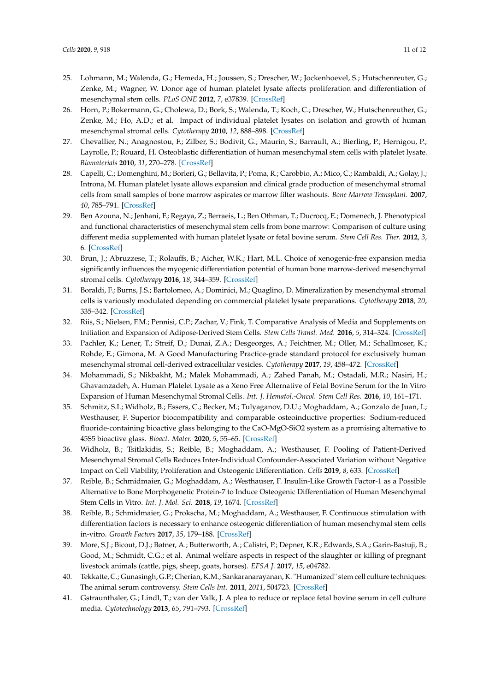- <span id="page-10-5"></span>25. Lohmann, M.; Walenda, G.; Hemeda, H.; Joussen, S.; Drescher, W.; Jockenhoevel, S.; Hutschenreuter, G.; Zenke, M.; Wagner, W. Donor age of human platelet lysate affects proliferation and differentiation of mesenchymal stem cells. *PLoS ONE* **2012**, *7*, e37839. [\[CrossRef\]](http://dx.doi.org/10.1371/journal.pone.0037839)
- <span id="page-10-6"></span>26. Horn, P.; Bokermann, G.; Cholewa, D.; Bork, S.; Walenda, T.; Koch, C.; Drescher, W.; Hutschenreuther, G.; Zenke, M.; Ho, A.D.; et al. Impact of individual platelet lysates on isolation and growth of human mesenchymal stromal cells. *Cytotherapy* **2010**, *12*, 888–898. [\[CrossRef\]](http://dx.doi.org/10.3109/14653249.2010.501788)
- <span id="page-10-3"></span>27. Chevallier, N.; Anagnostou, F.; Zilber, S.; Bodivit, G.; Maurin, S.; Barrault, A.; Bierling, P.; Hernigou, P.; Layrolle, P.; Rouard, H. Osteoblastic differentiation of human mesenchymal stem cells with platelet lysate. *Biomaterials* **2010**, *31*, 270–278. [\[CrossRef\]](http://dx.doi.org/10.1016/j.biomaterials.2009.09.043)
- <span id="page-10-1"></span>28. Capelli, C.; Domenghini, M.; Borleri, G.; Bellavita, P.; Poma, R.; Carobbio, A.; Mico, C.; Rambaldi, A.; Golay, J.; Introna, M. Human platelet lysate allows expansion and clinical grade production of mesenchymal stromal cells from small samples of bone marrow aspirates or marrow filter washouts. *Bone Marrow Transplant.* **2007**, *40*, 785–791. [\[CrossRef\]](http://dx.doi.org/10.1038/sj.bmt.1705798)
- <span id="page-10-0"></span>29. Ben Azouna, N.; Jenhani, F.; Regaya, Z.; Berraeis, L.; Ben Othman, T.; Ducrocq, E.; Domenech, J. Phenotypical and functional characteristics of mesenchymal stem cells from bone marrow: Comparison of culture using different media supplemented with human platelet lysate or fetal bovine serum. *Stem Cell Res. Ther.* **2012**, *3*, 6. [\[CrossRef\]](http://dx.doi.org/10.1186/scrt97)
- <span id="page-10-2"></span>30. Brun, J.; Abruzzese, T.; Rolauffs, B.; Aicher, W.K.; Hart, M.L. Choice of xenogenic-free expansion media significantly influences the myogenic differentiation potential of human bone marrow-derived mesenchymal stromal cells. *Cytotherapy* **2016**, *18*, 344–359. [\[CrossRef\]](http://dx.doi.org/10.1016/j.jcyt.2015.11.019)
- <span id="page-10-4"></span>31. Boraldi, F.; Burns, J.S.; Bartolomeo, A.; Dominici, M.; Quaglino, D. Mineralization by mesenchymal stromal cells is variously modulated depending on commercial platelet lysate preparations. *Cytotherapy* **2018**, *20*, 335–342. [\[CrossRef\]](http://dx.doi.org/10.1016/j.jcyt.2017.11.011)
- 32. Riis, S.; Nielsen, F.M.; Pennisi, C.P.; Zachar, V.; Fink, T. Comparative Analysis of Media and Supplements on Initiation and Expansion of Adipose-Derived Stem Cells. *Stem Cells Transl. Med.* **2016**, *5*, 314–324. [\[CrossRef\]](http://dx.doi.org/10.5966/sctm.2015-0148)
- <span id="page-10-15"></span>33. Pachler, K.; Lener, T.; Streif, D.; Dunai, Z.A.; Desgeorges, A.; Feichtner, M.; Oller, M.; Schallmoser, K.; Rohde, E.; Gimona, M. A Good Manufacturing Practice-grade standard protocol for exclusively human mesenchymal stromal cell-derived extracellular vesicles. *Cytotherapy* **2017**, *19*, 458–472. [\[CrossRef\]](http://dx.doi.org/10.1016/j.jcyt.2017.01.001)
- <span id="page-10-7"></span>34. Mohammadi, S.; Nikbakht, M.; Malek Mohammadi, A.; Zahed Panah, M.; Ostadali, M.R.; Nasiri, H.; Ghavamzadeh, A. Human Platelet Lysate as a Xeno Free Alternative of Fetal Bovine Serum for the In Vitro Expansion of Human Mesenchymal Stromal Cells. *Int. J. Hematol.-Oncol. Stem Cell Res.* **2016**, *10*, 161–171.
- <span id="page-10-8"></span>35. Schmitz, S.I.; Widholz, B.; Essers, C.; Becker, M.; Tulyaganov, D.U.; Moghaddam, A.; Gonzalo de Juan, I.; Westhauser, F. Superior biocompatibility and comparable osteoinductive properties: Sodium-reduced fluoride-containing bioactive glass belonging to the CaO-MgO-SiO2 system as a promising alternative to 45S5 bioactive glass. *Bioact. Mater.* **2020**, *5*, 55–65. [\[CrossRef\]](http://dx.doi.org/10.1016/j.bioactmat.2019.12.005)
- <span id="page-10-9"></span>36. Widholz, B.; Tsitlakidis, S.; Reible, B.; Moghaddam, A.; Westhauser, F. Pooling of Patient-Derived Mesenchymal Stromal Cells Reduces Inter-Individual Confounder-Associated Variation without Negative Impact on Cell Viability, Proliferation and Osteogenic Differentiation. *Cells* **2019**, *8*, 633. [\[CrossRef\]](http://dx.doi.org/10.3390/cells8060633)
- <span id="page-10-11"></span>37. Reible, B.; Schmidmaier, G.; Moghaddam, A.; Westhauser, F. Insulin-Like Growth Factor-1 as a Possible Alternative to Bone Morphogenetic Protein-7 to Induce Osteogenic Differentiation of Human Mesenchymal Stem Cells in Vitro. *Int. J. Mol. Sci.* **2018**, *19*, 1674. [\[CrossRef\]](http://dx.doi.org/10.3390/ijms19061674)
- <span id="page-10-10"></span>38. Reible, B.; Schmidmaier, G.; Prokscha, M.; Moghaddam, A.; Westhauser, F. Continuous stimulation with differentiation factors is necessary to enhance osteogenic differentiation of human mesenchymal stem cells in-vitro. *Growth Factors* **2017**, *35*, 179–188. [\[CrossRef\]](http://dx.doi.org/10.1080/08977194.2017.1401618)
- <span id="page-10-12"></span>39. More, S.J.; Bicout, D.J.; Bøtner, A.; Butterworth, A.; Calistri, P.; Depner, K.R.; Edwards, S.A.; Garin-Bastuji, B.; Good, M.; Schmidt, C.G.; et al. Animal welfare aspects in respect of the slaughter or killing of pregnant livestock animals (cattle, pigs, sheep, goats, horses). *EFSA J.* **2017**, *15*, e04782.
- <span id="page-10-13"></span>40. Tekkatte, C.; Gunasingh, G.P.; Cherian, K.M.; Sankaranarayanan, K. "Humanized" stem cell culture techniques: The animal serum controversy. *Stem Cells Int.* **2011**, *2011*, 504723. [\[CrossRef\]](http://dx.doi.org/10.4061/2011/504723)
- <span id="page-10-14"></span>41. Gstraunthaler, G.; Lindl, T.; van der Valk, J. A plea to reduce or replace fetal bovine serum in cell culture media. *Cytotechnology* **2013**, *65*, 791–793. [\[CrossRef\]](http://dx.doi.org/10.1007/s10616-013-9633-8)